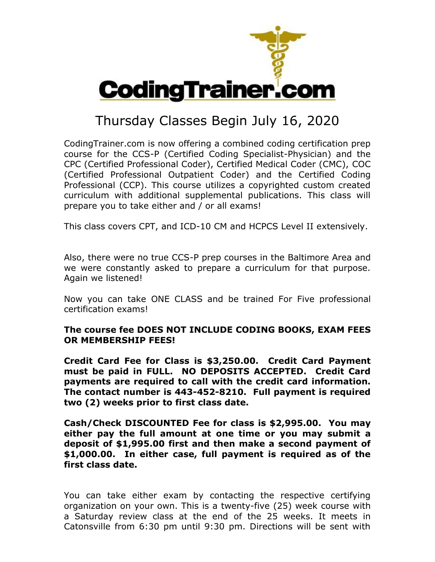

## Thursday Classes Begin July 16, 2020

CodingTrainer.com is now offering a combined coding certification prep course for the CCS-P (Certified Coding Specialist-Physician) and the CPC (Certified Professional Coder), Certified Medical Coder (CMC), COC (Certified Professional Outpatient Coder) and the Certified Coding Professional (CCP). This course utilizes a copyrighted custom created curriculum with additional supplemental publications. This class will prepare you to take either and / or all exams!

This class covers CPT, and ICD-10 CM and HCPCS Level II extensively.

Also, there were no true CCS-P prep courses in the Baltimore Area and we were constantly asked to prepare a curriculum for that purpose. Again we listened!

Now you can take ONE CLASS and be trained For Five professional certification exams!

## **The course fee DOES NOT INCLUDE CODING BOOKS, EXAM FEES OR MEMBERSHIP FEES!**

**Credit Card Fee for Class is \$3,250.00. Credit Card Payment must be paid in FULL. NO DEPOSITS ACCEPTED. Credit Card payments are required to call with the credit card information. The contact number is 443-452-8210. Full payment is required two (2) weeks prior to first class date.**

**Cash/Check DISCOUNTED Fee for class is \$2,995.00. You may either pay the full amount at one time or you may submit a deposit of \$1,995.00 first and then make a second payment of \$1,000.00. In either case, full payment is required as of the first class date.**

You can take either exam by contacting the respective certifying organization on your own. This is a twenty-five (25) week course with a Saturday review class at the end of the 25 weeks. It meets in Catonsville from 6:30 pm until 9:30 pm. Directions will be sent with